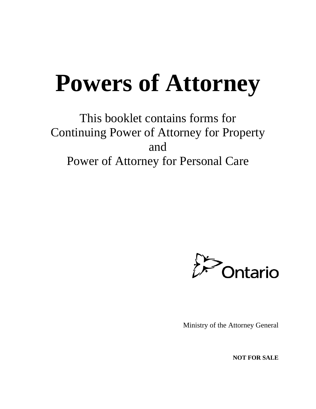# **Powers of Attorney**

This booklet contains forms for Continuing Power of Attorney for Property and Power of Attorney for Personal Care



Ministry of the Attorney General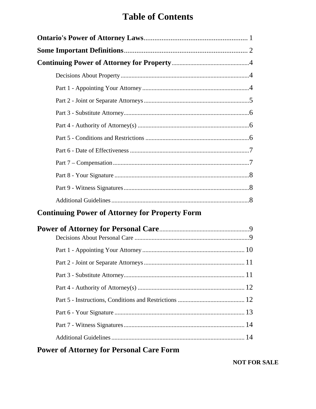# **Table of Contents**

| <b>Continuing Power of Attorney for Property Form</b> |
|-------------------------------------------------------|
|                                                       |
|                                                       |
|                                                       |
|                                                       |
|                                                       |
|                                                       |
|                                                       |
|                                                       |
|                                                       |

# **Power of Attorney for Personal Care Form**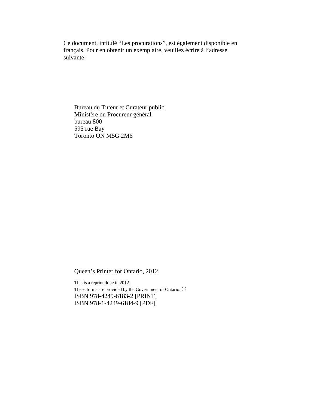Ce document, intitulé "Les procurations", est également disponible en français. Pour en obtenir un exemplaire, veuillez écrire à l'adresse suivante:

Bureau du Tuteur et Curateur public Ministère du Procureur général bureau 800 595 rue Bay Toronto ON M5G 2M6

Queen's Printer for Ontario, 2012

This is a reprint done in 2012 These forms are provided by the Government of Ontario. © ISBN 978-4249-6183-2 [PRINT] ISBN 978-1-4249-6184-9 [PDF]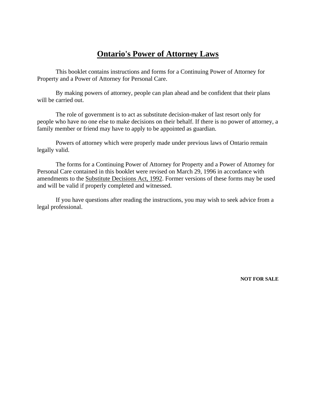# **Ontario's Power of Attorney Laws**

This booklet contains instructions and forms for a Continuing Power of Attorney for Property and a Power of Attorney for Personal Care.

By making powers of attorney, people can plan ahead and be confident that their plans will be carried out.

The role of government is to act as substitute decision-maker of last resort only for people who have no one else to make decisions on their behalf. If there is no power of attorney, a family member or friend may have to apply to be appointed as guardian.

Powers of attorney which were properly made under previous laws of Ontario remain legally valid.

The forms for a Continuing Power of Attorney for Property and a Power of Attorney for Personal Care contained in this booklet were revised on March 29, 1996 in accordance with amendments to the Substitute Decisions Act, 1992. Former versions of these forms may be used and will be valid if properly completed and witnessed.

If you have questions after reading the instructions, you may wish to seek advice from a legal professional.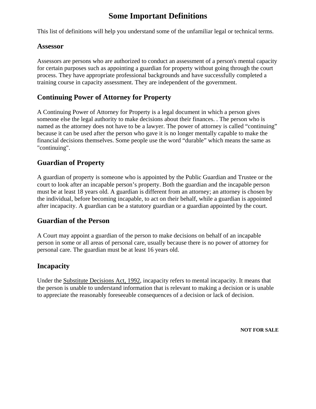# **Some Important Definitions**

This list of definitions will help you understand some of the unfamiliar legal or technical terms.

### **Assessor**

Assessors are persons who are authorized to conduct an assessment of a person's mental capacity for certain purposes such as appointing a guardian for property without going through the court process. They have appropriate professional backgrounds and have successfully completed a training course in capacity assessment. They are independent of the government.

## **Continuing Power of Attorney for Property**

A Continuing Power of Attorney for Property is a legal document in which a person gives someone else the legal authority to make decisions about their finances. . The person who is named as the attorney does not have to be a lawyer. The power of attorney is called "continuing" because it can be used after the person who gave it is no longer mentally capable to make the financial decisions themselves. Some people use the word "durable" which means the same as "continuing".

### **Guardian of Property**

A guardian of property is someone who is appointed by the Public Guardian and Trustee or the court to look after an incapable person's property. Both the guardian and the incapable person must be at least 18 years old. A guardian is different from an attorney; an attorney is chosen by the individual, before becoming incapable, to act on their behalf, while a guardian is appointed after incapacity. A guardian can be a statutory guardian or a guardian appointed by the court.

### **Guardian of the Person**

A Court may appoint a guardian of the person to make decisions on behalf of an incapable person in some or all areas of personal care, usually because there is no power of attorney for personal care. The guardian must be at least 16 years old.

## **Incapacity**

Under the Substitute Decisions Act, 1992, incapacity refers to mental incapacity. It means that the person is unable to understand information that is relevant to making a decision or is unable to appreciate the reasonably foreseeable consequences of a decision or lack of decision.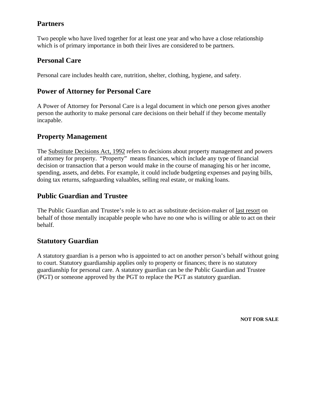# **Partners**

Two people who have lived together for at least one year and who have a close relationship which is of primary importance in both their lives are considered to be partners.

# **Personal Care**

Personal care includes health care, nutrition, shelter, clothing, hygiene, and safety.

# **Power of Attorney for Personal Care**

A Power of Attorney for Personal Care is a legal document in which one person gives another person the authority to make personal care decisions on their behalf if they become mentally incapable.

## **Property Management**

The Substitute Decisions Act, 1992 refers to decisions about property management and powers of attorney for property. "Property" means finances, which include any type of financial decision or transaction that a person would make in the course of managing his or her income, spending, assets, and debts. For example, it could include budgeting expenses and paying bills, doing tax returns, safeguarding valuables, selling real estate, or making loans.

# **Public Guardian and Trustee**

The Public Guardian and Trustee's role is to act as substitute decision-maker of last resort on behalf of those mentally incapable people who have no one who is willing or able to act on their behalf.

# **Statutory Guardian**

A statutory guardian is a person who is appointed to act on another person's behalf without going to court. Statutory guardianship applies only to property or finances; there is no statutory guardianship for personal care. A statutory guardian can be the Public Guardian and Trustee (PGT) or someone approved by the PGT to replace the PGT as statutory guardian.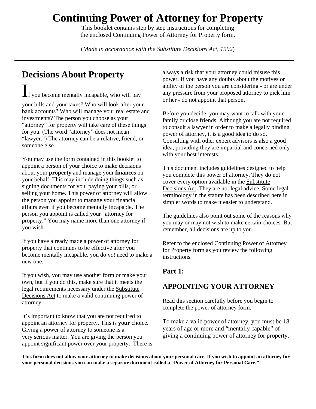# **Continuing Power of Attorney for Property**

This booklet contains step by step instructions for completing the enclosed Continuing Power of Attorney for Property form.

(*Made in accordance with the Substitute Decisions Act, 1992*)

# **Decisions About Property**

 $\mathbf{I}_\text{f}$  you become mentally incapable, who will pay

your bills and your taxes? Who will look after your bank accounts? Who will manage your real estate and investments? The person you choose as your "attorney" for property will take care of these things for you. (The word "attorney" does not mean "lawyer.") The attorney can be a relative, friend, or someone else.

You may use the form contained in this booklet to appoint a person of your choice to make decisions about your **property** and manage your **finances** on your behalf. This may include doing things such as signing documents for you, paying your bills, or selling your home. This power of attorney will allow the person you appoint to manage your financial affairs even if you become mentally incapable. The person you appoint is called your "attorney for property." You may name more than one attorney if you wish.

 If you have already made a power of attorney for property that continues to be effective after you become mentally incapable, you do *not* need to make a new one.

If you wish, you may use another form or make your own, but if you do this, make sure that it meets the legal requirements necessary under the Substitute Decisions Act to make a valid continuing power of attorney.

It's important to know that you are not required to appoint an attorney for property. This is **your** choice. Giving a power of attorney to someone is a very serious matter. You are giving the person you appoint significant power over your property. There is always a risk that your attorney could misuse this power. If you have any doubts about the motives or ability of the person you are considering - or are under any pressure from your proposed attorney to pick him or her - do not appoint that person.

Before you decide, you may want to talk with your family or close friends. Although you are not required to consult a lawyer in order to make a legally binding power of attorney, it is a good idea to do so. Consulting with other expert advisors is also a good idea, providing they are impartial and concerned only with your best interests.

This document includes guidelines designed to help you complete this power of attorney. They do not cover every option available in the Substitute Decisions Act. They are not legal advice. Some legal terminology in the statute has been described here in simpler words to make it easier to understand.

The guidelines also point out some of the reasons why you may or may not wish to make certain choices. But remember, all decisions are up to you.

 for Property form as you review the following Refer to the enclosed Continuing Power of Attorney instructions.

# **Part 1:**

# **APPOINTING YOUR ATTORNEY**

Read this section carefully before you begin to complete the power of attorney form.

To make a valid power of attorney, you must be 18 years of age or more and "mentally capable" of giving a continuing power of attorney for property.

 **your personal decisions you can make a separate document called a "Power of Attorney for Personal Care." This form does not allow your attorney to make decisions about your personal care. If you wish to appoint an attorney for**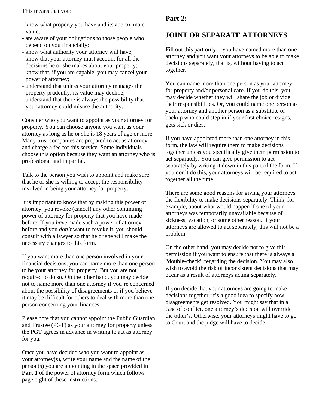This means that you:

- know what property you have and its approximate value;
- are aware of your obligations to those people who depend on you financially;
- know what authority your attorney will have;
- know that your attorney must account for all the decisions he or she makes about your property;
- know that, if you are capable, you may cancel your power of attorney;
- understand that unless your attorney manages the property prudently, its value may decline;
- understand that there is always the possibility that your attorney could misuse the authority.

Consider who you want to appoint as your attorney for property. You can choose anyone you want as your attorney as long as he or she is 18 years of age or more. Many trust companies are prepared to act as attorney and charge a fee for this service. Some individuals choose this option because they want an attorney who is professional and impartial.

Talk to the person you wish to appoint and make sure that he or she is willing to accept the responsibility involved in being your attorney for property.

It is important to know that by making this power of attorney, you revoke (cancel) any other continuing power of attorney for property that you have made before. If you *have* made such a power of attorney before and you *don't* want to revoke it, you should consult with a lawyer so that he or she will make the necessary changes to this form.

If you want more than one person involved in your financial decisions, you can name more than one person to be your attorney for property. But you are not required to do so. On the other hand, you may decide not to name more than one attorney if you're concerned about the possibility of disagreements or if you believe it may be difficult for others to deal with more than one person concerning your finances.

Please note that you cannot appoint the Public Guardian and Trustee (PGT) as your attorney for property unless the PGT agrees in advance in writing to act as attorney for you.

Once you have decided who you want to appoint as your attorney(s), write your name and the name of the person(s) you are appointing in the space provided in **Part 1** of the power of attorney form which follows page eight of these instructions.

# **Part 2:**

# **JOINT OR SEPARATE ATTORNEYS**

Fill out this part **only** if you have named more than one attorney and you want your attorneys to be able to make decisions separately, that is, without having to act together.

You can name more than one person as your attorney for property and/or personal care. If you do this, you may decide whether they will share the job or divide their responsibilities. Or, you could name one person as your attorney and another person as a substitute or backup who could step in if your first choice resigns, gets sick or dies.

If you have appointed more than one attorney in this form, the law will require them to make decisions together unless you specifically give them permission to act separately. You can give permission to act separately by writing it down in this part of the form. If you don't do this, your attorneys will be required to act together all the time.

There are some good reasons for giving your attorneys the flexibility to make decisions separately. Think, for example, about what would happen if one of your attorneys was temporarily unavailable because of sickness, vacation, or some other reason. If your attorneys are allowed to act separately, this will not be a problem.

On the other hand, you may decide not to give this permission if you want to ensure that there is always a "double-check" regarding the decision. You may also wish to avoid the risk of inconsistent decisions that may occur as a result of attorneys acting separately.

If you decide that your attorneys are going to make decisions together, it's a good idea to specify how disagreements get resolved. You might say that in a case of conflict, one attorney's decision will override the other's. Otherwise, your attorneys might have to go to Court and the judge will have to decide.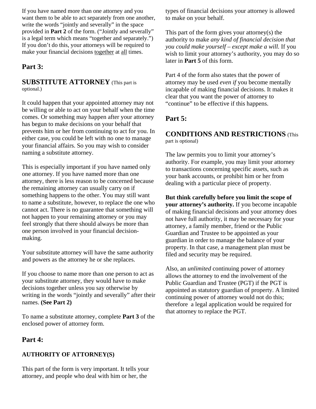If you have named more than one attorney and you want them to be able to act separately from one another, write the words "jointly and severally" in the space provided in **Part 2** of the form. ("Jointly and severally" is a legal term which means "together and separately.") If you don't do this, your attorneys will be required to make your financial decisions together at all times.

## **Part 3:**

### **SUBSTITUTE ATTORNEY** (This part is optional.)

It could happen that your appointed attorney may not be willing or able to act on your behalf when the time comes. Or something may happen after your attorney has begun to make decisions on your behalf that prevents him or her from continuing to act for you. In either case, you could be left with no one to manage your financial affairs. So you may wish to consider naming a substitute attorney.

This is especially important if you have named only one attorney. If you have named more than one attorney, there is less reason to be concerned because the remaining attorney can usually carry on if something happens to the other. You may still want to name a substitute, however, to replace the one who cannot act. There is no guarantee that something will not happen to your remaining attorney or you may feel strongly that there should always be more than one person involved in your financial decisionmaking.

Your substitute attorney will have the same authority and powers as the attorney he or she replaces.

If you choose to name more than one person to act as your substitute attorney, they would have to make decisions together unless you say otherwise by writing in the words "jointly and severally" after their names. **(See Part 2)** 

To name a substitute attorney, complete **Part 3** of the enclosed power of attorney form.

### **Part 4:**

#### **AUTHORITY OF ATTORNEY(S)**

This part of the form is very important. It tells your attorney, and people who deal with him or her, the

types of financial decisions your attorney is allowed to make on your behalf.

This part of the form gives your attorney(s) the authority to make *any kind of financial decision that you could make yourself – except make a will.* If you wish to limit your attorney's authority, you may do so later in **Part 5** of this form.

Part 4 of the form also states that the power of attorney may be used *even if* you become mentally incapable of making financial decisions. It makes it clear that you want the power of attorney to "continue" to be effective if this happens.

## **Part 5:**

### **CONDITIONS AND RESTRICTIONS** (This part is optional)

The law permits you to limit your attorney's authority. For example, you may limit your attorney to transactions concerning specific assets, such as your bank accounts, or prohibit him or her from dealing with a particular piece of property.

**But think carefully before you limit the scope of your attorney's authority.** If you become incapable of making financial decisions and your attorney does not have full authority, it may be necessary for your attorney, a family member, friend or the Public Guardian and Trustee to be appointed as your guardian in order to manage the balance of your property. In that case, a management plan must be filed and security may be required.

Also, an *unlimited* continuing power of attorney allows the attorney to end the involvement of the Public Guardian and Trustee (PGT) if the PGT is appointed as statutory guardian of property. A limited continuing power of attorney would not do this; therefore a legal application would be required for that attorney to replace the PGT.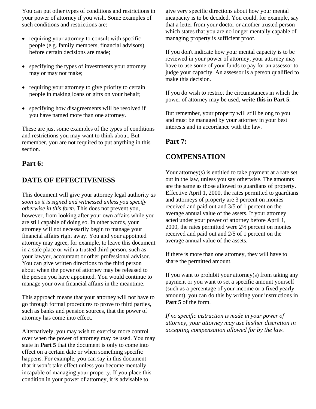You can put other types of conditions and restrictions in your power of attorney if you wish. Some examples of such conditions and restrictions are:

- requiring your attorney to consult with specific people (e.g. family members, financial advisors) before certain decisions are made;
- specifying the types of investments your attorney may or may not make;
- requiring your attorney to give priority to certain people in making loans or gifts on your behalf;
- specifying how disagreements will be resolved if you have named more than one attorney.

These are just some examples of the types of conditions and restrictions you may want to think about. But remember, you are not required to put anything in this section.

### **Part 6:**

### **DATE OF EFFECTIVENESS**

This document will give your attorney legal authority *as soon as it is signed and witnessed unless you specify otherwise in this form.* This does not prevent you, however, from looking after your own affairs while you are still capable of doing so. In other words, your attorney will not necessarily begin to manage your financial affairs right away. You and your appointed attorney may agree, for example, to leave this document in a safe place or with a trusted third person, such as your lawyer, accountant or other professional advisor. You can give written directions to the third person about when the power of attorney may be released to the person you have appointed. You would continue to manage your own financial affairs in the meantime.

This approach means that your attorney will not have to go through formal procedures to prove to third parties, such as banks and pension sources, that the power of attorney has come into effect.

 that it won't take effect unless you become mentally Alternatively, you may wish to exercise more control over when the power of attorney may be used. You may state in **Part 5** that the document is only to come into effect on a certain date or when something specific happens. For example, you can say in this document incapable of managing your property. If you place this condition in your power of attorney, it is advisable to

give very specific directions about how your mental incapacity is to be decided. You could, for example, say that a letter from your doctor or another trusted person which states that you are no longer mentally capable of managing property is sufficient proof.

 reviewed in your power of attorney, your attorney may If you don't indicate how your mental capacity is to be have to use some of your funds to pay for an assessor to judge your capacity. An assessor is a person qualified to make this decision.

If you do wish to restrict the circumstances in which the power of attorney may be used, **write this in Part 5**.

But remember, your property will still belong to you and must be managed by your attorney in your best interests and in accordance with the law.

### **Part 7:**

### **COMPENSATION**

Your attorney(s) is entitled to take payment at a rate set out in the law, unless you say otherwise. The amounts are the same as those allowed to guardians of property. Effective April 1, 2000, the rates permitted to guardians and attorneys of property are 3 percent on monies received and paid out and 3/5 of 1 percent on the average annual value of the assets. If your attorney acted under your power of attorney before April 1, 2000, the rates permitted were 2½ percent on monies received and paid out and 2/5 of 1 percent on the average annual value of the assets.

If there is more than one attorney, they will have to share the permitted amount.

If you want to prohibit your attorney(s) from taking any payment or you want to set a specific amount yourself (such as a percentage of your income or a fixed yearly amount), you can do this by writing your instructions in **Part 5** of the form.

*If no specific instruction is made in your power of attorney, your attorney may use his/her discretion in accepting compensation allowed for by the law.*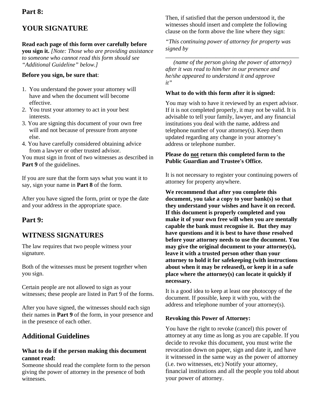### **Part 8:**

# **YOUR SIGNATURE**

## **Read each page of this form over carefully before**

**you sign it.** *[Note: Those who are providing assistance to someone who cannot read this form should see "Additional Guideline" below.]* 

### **Before you sign, be sure that**:

- 1. You understand the power your attorney will have and when the document will become effective.
- 2. You trust your attorney to act in your best interests.
- 3. You are signing this document of your own free will and not because of pressure from anyone else.
- 4. You have carefully considered obtaining advice from a lawyer or other trusted advisor.

You must sign in front of two witnesses as described in **Part 9** of the guidelines.

If you are sure that the form says what you want it to say, sign your name in **Part 8** of the form.

After you have signed the form, print or type the date and your address in the appropriate space.

## **Part 9:**

# **WITNESS SIGNATURES**

The law requires that two people witness your signature.

Both of the witnesses must be present together when you sign.

Certain people are not allowed to sign as your witnesses; these people are listed in Part 9 of the forms.

After you have signed, the witnesses should each sign their names in **Part 9** of the form, in your presence and in the presence of each other.

# **Additional Guidelines**

### **What to do if the person making this document cannot read:**

Someone should read the complete form to the person giving the power of attorney in the presence of both witnesses.

Then, if satisfied that the person understood it, the witnesses should insert and complete the following clause on the form above the line where they sign:

*"This continuing power of attorney for property was signed by* 

*\_\_\_\_\_\_\_\_\_\_\_\_\_\_\_\_\_\_\_\_\_\_\_\_\_\_\_\_\_\_\_\_\_\_\_\_\_\_\_\_\_\_\_\_\_* 

*(name of the person giving the power of attorney) after it was read to him/her in our presence and he/she appeared to understand it and approve it"* 

### **What to do with this form after it is signed:**

You may wish to have it reviewed by an expert advisor. If it is not completed properly, it may not be valid. It is advisable to tell your family, lawyer, and any financial institutions you deal with the name, address and telephone number of your attorney(s). Keep them updated regarding any change in your attorney's address or telephone number.

### **Please do not return this completed form to the Public Guardian and Trustee's Office.**

It is not necessary to register your continuing powers of attorney for property anywhere.

**We recommend that after you complete this document, you take a copy to your bank(s) so that they understand your wishes and have it on record. If this document is properly completed and you make it of your own free will when you are mentally capable the bank must recognise it. But they may have questions and it is best to have those resolved before your attorney needs to use the document. You may give the original document to your attorney(s), leave it with a trusted person other than your attorney to hold it for safekeeping (with instructions about when it may be released), or keep it in a safe place where the attorney(s) can locate it quickly if necessary.** 

It is a good idea to keep at least one photocopy of the document. If possible, keep it with you, with the address and telephone number of your attorney(s).

### **Revoking this Power of Attorney:**

You have the right to revoke (cancel) this power of attorney at any time as long as you are capable. If you decide to revoke this document, you must write the revocation down on paper, sign and date it, and have it witnessed in the same way as the power of attorney (i.e. two witnesses, etc) Notify your attorney, financial institutions and all the people you told about your power of attorney.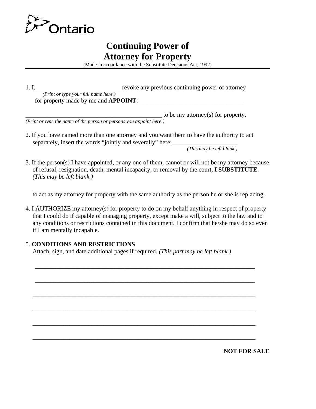

# **Continuing Power of Attorney for Property**

(Made in accordance with the Substitute Decisions Act, 1992)

| 1. I                                          | revoke any previous continuing power of attorney |
|-----------------------------------------------|--------------------------------------------------|
| ( <i>Print or type your full name here.</i> ) |                                                  |
| for property made by me and <b>APPOINT</b> :  |                                                  |

 $\Box$  to be my attorney(s) for property. *(Print or type the name of the person or persons you appoint here.)* 

2. If you have named more than one attorney and you want them to have the authority to act separately, insert the words "jointly and severally" here:

 *(This may be left blank.)* 

3. If the person(s) I have appointed, or any one of them, cannot or will not be my attorney because of refusal, resignation, death, mental incapacity, or removal by the court**, I SUBSTITUTE**: *(This may be left blank.)* 

to act as my attorney for property with the same authority as the person he or she is replacing.

\_\_\_\_\_\_\_\_\_\_\_\_\_\_\_\_\_\_\_\_\_\_\_\_\_\_\_\_\_\_\_\_\_\_\_\_\_\_\_\_\_\_\_\_\_\_\_\_\_\_\_\_\_\_\_\_\_\_\_\_\_\_\_\_\_\_\_\_\_\_\_\_\_\_\_\_\_\_\_\_\_\_\_\_\_\_\_\_\_\_\_\_\_\_\_\_\_\_\_\_\_\_\_\_\_\_\_\_\_\_\_\_\_\_\_\_\_\_\_\_\_\_\_\_\_\_\_\_\_\_\_\_\_\_\_\_\_\_\_

4. I AUTHORIZE my attorney(s) for property to do on my behalf anything in respect of property that I could do if capable of managing property, except make a will, subject to the law and to any conditions or restrictions contained in this document. I confirm that he/she may do so even if I am mentally incapable.

\_\_\_\_\_\_\_\_\_\_\_\_\_\_\_\_\_\_\_\_\_\_\_\_\_\_\_\_\_\_\_\_\_\_\_\_\_\_\_\_\_\_\_\_\_\_\_\_\_\_\_\_\_\_\_\_\_\_\_\_\_\_\_\_\_\_\_\_\_\_\_

\_\_\_\_\_\_\_\_\_\_\_\_\_\_\_\_\_\_\_\_\_\_\_\_\_\_\_\_\_\_\_\_\_\_\_\_\_\_\_\_\_\_\_\_\_\_\_\_\_\_\_\_\_\_\_\_\_\_\_\_\_\_\_\_\_\_\_\_\_\_\_

\_\_\_\_\_\_\_\_\_\_\_\_\_\_\_\_\_\_\_\_\_\_\_\_\_\_\_\_\_\_\_\_\_\_\_\_\_\_\_\_\_\_\_\_\_\_\_\_\_\_\_\_\_\_\_\_\_\_\_\_\_\_\_\_\_\_\_\_\_\_\_\_

\_\_\_\_\_\_\_\_\_\_\_\_\_\_\_\_\_\_\_\_\_\_\_\_\_\_\_\_\_\_\_\_\_\_\_\_\_\_\_\_\_\_\_\_\_\_\_\_\_\_\_\_\_\_\_\_\_\_\_\_\_\_\_\_\_\_\_\_\_\_\_\_

\_\_\_\_\_\_\_\_\_\_\_\_\_\_\_\_\_\_\_\_\_\_\_\_\_\_\_\_\_\_\_\_\_\_\_\_\_\_\_\_\_\_\_\_\_\_\_\_\_\_\_\_\_\_\_\_\_\_\_\_\_\_\_\_\_\_\_\_\_\_\_\_

\_\_\_\_\_\_\_\_\_\_\_\_\_\_\_\_\_\_\_\_\_\_\_\_\_\_\_\_\_\_\_\_\_\_\_\_\_\_\_\_\_\_\_\_\_\_\_\_\_\_\_\_\_\_\_\_\_\_\_\_\_\_\_\_\_\_\_\_\_\_\_\_

### 5. **CONDITIONS AND RESTRICTIONS**

Attach, sign, and date additional pages if required. *(This part may be left blank.)*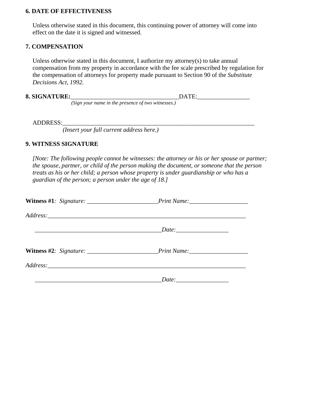#### **6. DATE OF EFFECTIVENESS**

Unless otherwise stated in this document, this continuing power of attorney will come into effect on the date it is signed and witnessed.

#### **7. COMPENSATION**

Unless otherwise stated in this document, I authorize my attorney(s) to take annual compensation from my property in accordance with the fee scale prescribed by regulation for the compensation of attorneys for property made pursuant to Section 90 of the *Substitute Decisions Act, 1992.* 

| <b>8. SIGNATURE:</b> |                                                    |  |
|----------------------|----------------------------------------------------|--|
|                      | (Sign your name in the presence of two witnesses.) |  |

ADDRESS:

*(Insert your full current address here.)* 

#### **9. WITNESS SIGNATURE**

*[Note: The following people cannot be witnesses: the attorney or his or her spouse or partner; the spouse, partner, or child of the person making the document, or someone that the person treats as his or her child; a person whose property is under guardianship or who has a guardian of the person; a person under the age of 18.]* 

| Witness #1: Signature: _________________________Print Name: ____________________ |       |  |
|----------------------------------------------------------------------------------|-------|--|
|                                                                                  |       |  |
|                                                                                  | Date: |  |
| Witness #2: Signature: ________________________Print Name: _____________________ |       |  |
|                                                                                  |       |  |
|                                                                                  |       |  |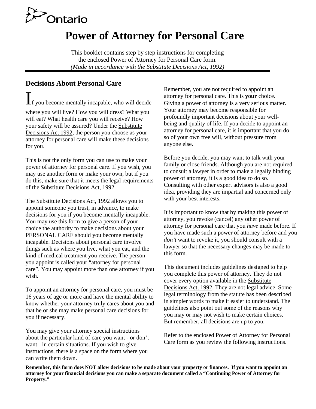

# **Power of Attorney for Personal Care**

This booklet contains step by step instructions for completing the enclosed Power of Attorney for Personal Care form. *(Made in accordance with the Substitute Decisions Act, 1992)* 

# **Decisions About Personal Care**

 $\prod$  you become mentally incapable, who will decide where you will live? How you will dress? What you will eat? What health care you will receive? How your safety will be assured? Under the Substitute Decisions Act 1992, the person you choose as your attorney for personal care will make these decisions for you.

This is not the only form you can use to make your power of attorney for personal care. If you wish, you may use another form or make your own, but if you do this, make sure that it meets the legal requirements of the Substitute Decisions Act, 1992.

The Substitute Decisions Act, 1992 allows you to appoint someone you trust, in advance, to make decisions for you if you become mentally incapable. You may use this form to give a person of your choice the authority to make decisions about your PERSONAL CARE should you become mentally incapable. Decisions about personal care involve things such as where you live, what you eat, and the kind of medical treatment you receive. The person you appoint is called your "attorney for personal care". You may appoint more than one attorney if you wish.

To appoint an attorney for personal care, you must be 16 years of age or more and have the mental ability to know whether your attorney truly cares about you and that he or she may make personal care decisions for you if necessary.

 about the particular kind of care you want - or don't You may give your attorney special instructions want - in certain situations. If you wish to give instructions, there is a space on the form where you can write them down.

Remember, you are not required to appoint an attorney for personal care. This is **your** choice. Giving a power of attorney is a very serious matter. Your attorney may become responsible for profoundly important decisions about your wellbeing and quality of life. If you decide to appoint an attorney for personal care, it is important that you do so of your own free will, without pressure from anyone else.

Before you decide, you may want to talk with your family or close friends. Although you are not required to consult a lawyer in order to make a legally binding power of attorney, it is a good idea to do so. Consulting with other expert advisors is also a good idea, providing they are impartial and concerned only with your best interests.

It is important to know that by making this power of attorney, you revoke (cancel) any other power of attorney for personal care that you *have* made before. If you have made such a power of attorney before and you *don't* want to revoke it, you should consult with a lawyer so that the necessary changes may be made to this form.

This document includes guidelines designed to help you complete this power of attorney. They do not cover every option available in the Substitute Decisions Act, 1992. They are not legal advice. Some legal terminology from the statute has been described in simpler words to make it easier to understand. The guidelines also point out some of the reasons why you may or may not wish to make certain choices. But remember, all decisions are up to you.

Refer to the enclosed Power of Attorney for Personal Care form as you review the following instructions.

**Remember, this form does NOT allow decisions to be made about your property or finances. If you want to appoint an attorney for your financial decisions you can make a separate document called a "Continuing Power of Attorney for Property."**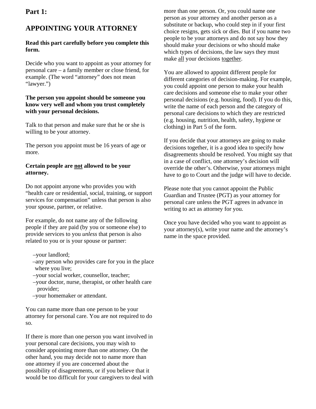### **Part 1:**

# **APPOINTING YOUR ATTORNEY**

### **Read this part carefully before you complete this form.**

Decide who you want to appoint as your attorney for personal care – a family member or close friend, for example. (The word "attorney" does not mean "lawyer.")

### **The person you appoint should be someone you know very well and whom you trust completely with your personal decisions.**

Talk to that person and make sure that he or she is willing to be your attorney.

The person you appoint must be 16 years of age or more.

### **Certain people are not allowed to be your attorney.**

Do not appoint anyone who provides you with "health care or residential, social, training, or support services for compensation" unless that person is also your spouse, partner, or relative.

For example, do not name any of the following people if they are paid (by you or someone else) to provide services to you *unless* that person is also related to you or is your spouse or partner:

- –your landlord;
- –any person who provides care for you in the place where you live;
- –your social worker, counsellor, teacher;
- –your doctor, nurse, therapist, or other health care provider;
- –your homemaker or attendant.

You can name more than one person to be your attorney for personal care. You are not required to do so.

If there is more than one person you want involved in your personal care decisions, you may wish to consider appointing more than one attorney. On the other hand, you may decide not to name more than one attorney if you are concerned about the possibility of disagreements, or if you believe that it would be too difficult for your caregivers to deal with

 people to be your attorneys and do not say how they more than one person. Or, you could name one person as your attorney and another person as a substitute or backup, who could step in if your first choice resigns, gets sick or dies. But if you name two should make your decisions or who should make which types of decisions, the law says they must make all your decisions together.

You are allowed to appoint different people for different categories of decision-making. For example, you could appoint one person to make your health care decisions and someone else to make your other personal decisions (e.g. housing, food). If you do this, write the name of each person and the category of personal care decisions to which they are restricted (e.g. housing, nutrition, health, safety, hygiene or clothing) in Part 5 of the form.

If you decide that your attorneys are going to make decisions together, it is a good idea to specify how disagreements should be resolved. You might say that in a case of conflict, one attorney's decision will override the other's. Otherwise, your attorneys might have to go to Court and the judge will have to decide.

Please note that you cannot appoint the Public Guardian and Trustee (PGT) as your attorney for personal care unless the PGT agrees in advance in writing to act as attorney for you.

Once you have decided who you want to appoint as your attorney(s), write your name and the attorney's name in the space provided.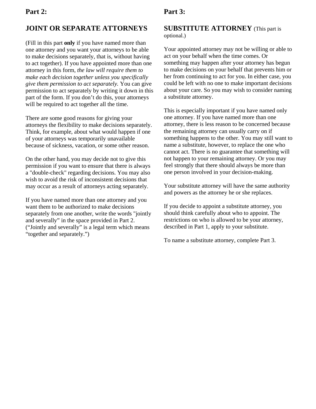# **JOINT OR SEPARATE ATTORNEYS**

(Fill in this part **only** if you have named more than one attorney and you want your attorneys to be able to make decisions separately, that is, without having to act together). If you have appointed more than one attorney in this form, *the law will require them to make each decision together unless you specifically give them permission to act separately.* You can give permission to act separately by writing it down in this part of the form. If you don't do this, your attorneys will be required to act together all the time.

There are some good reasons for giving your attorneys the flexibility to make decisions separately. Think, for example, about what would happen if one of your attorneys was temporarily unavailable because of sickness, vacation, or some other reason.

On the other hand, you may decide not to give this permission if you want to ensure that there is always a "double-check" regarding decisions. You may also wish to avoid the risk of inconsistent decisions that may occur as a result of attorneys acting separately.

If you have named more than one attorney and you want them to be authorized to make decisions separately from one another, write the words "jointly and severally" in the space provided in Part 2. ("Jointly and severally" is a legal term which means "together and separately.")

# **Part 3:**

### **SUBSTITUTE ATTORNEY** (This part is optional.)

Your appointed attorney may not be willing or able to act on your behalf when the time comes. Or something may happen after your attorney has begun to make decisions on your behalf that prevents him or her from continuing to act for you. In either case, you could be left with no one to make important decisions about your care. So you may wish to consider naming a substitute attorney.

This is especially important if you have named only one attorney. If you have named more than one attorney, there is less reason to be concerned because the remaining attorney can usually carry on if something happens to the other. You may still want to name a substitute, however, to replace the one who cannot act. There is no guarantee that something will not happen to your remaining attorney. Or you may feel strongly that there should always be more than one person involved in your decision-making.

Your substitute attorney will have the same authority and powers as the attorney he or she replaces.

If you decide to appoint a substitute attorney, you should think carefully about who to appoint. The restrictions on who is allowed to be your attorney, described in Part 1, apply to your substitute.

To name a substitute attorney, complete Part 3.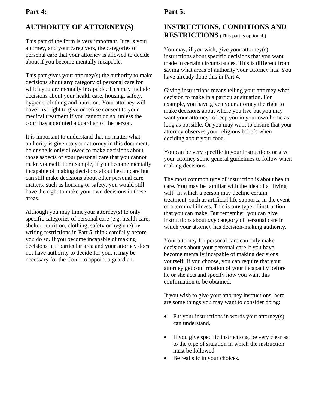### **Part 4:**

# **AUTHORITY OF ATTORNEY(S)**

This part of the form is very important. It tells your attorney, and your caregivers, the categories of personal care that your attorney is allowed to decide about if you become mentally incapable.

This part gives your attorney(s) the authority to make decisions about **any** category of personal care for which you are mentally incapable. This may include decisions about your health care, housing, safety, hygiene, clothing and nutrition. Your attorney will have first right to give or refuse consent to your medical treatment if you cannot do so, unless the court has appointed a guardian of the person.

 make yourself. For example, if you become mentally It is important to understand that no matter what authority is given to your attorney in this document, he or she is only allowed to make decisions about those aspects of your personal care that you cannot incapable of making decisions about health care but can still make decisions about other personal care matters, such as housing or safety, you would still have the right to make your own decisions in these areas.

Although you may limit your attorney(s) to only specific categories of personal care (e.g. health care, shelter, nutrition, clothing, safety or hygiene) by writing restrictions in Part 5, think carefully before you do so. If you become incapable of making decisions in a particular area and your attorney does not have authority to decide for you, it may be necessary for the Court to appoint a guardian.

## **Part 5:**

# **INSTRUCTIONS, CONDITIONS AND RESTRICTIONS** (This part is optional.)

You may, if you wish, give your attorney(s) instructions about specific decisions that you want made in certain circumstances. This is different from saying what areas of authority your attorney has. You have already done this in Part 4.

 Giving instructions means telling your attorney what deciding about your food. decision to make in a particular situation. For example, you have given your attorney the right to make decisions about where you live but you may want your attorney to keep you in your own home as long as possible. Or you may want to ensure that your attorney observes your religious beliefs when

You can be very specific in your instructions or give your attorney some general guidelines to follow when making decisions.

The most common type of instruction is about health care. You may be familiar with the idea of a "living will" in which a person may decline certain treatment, such as artificial life supports, in the event of a terminal illness. This is **one** type of instruction that you can make. But remember, you can give instructions about *any* category of personal care in which your attorney has decision-making authority.

Your attorney for personal care can only make decisions about your personal care if you have become mentally incapable of making decisions yourself. If you choose, you can require that your attorney get confirmation of your incapacity before he or she acts and specify how you want this confirmation to be obtained.

If you wish to give your attorney instructions, here are some things you may want to consider doing:

- Put your instructions in words your attorney(s) can understand.
- If you give specific instructions, be very clear as to the type of situation in which the instruction must be followed.
- Be realistic in your choices.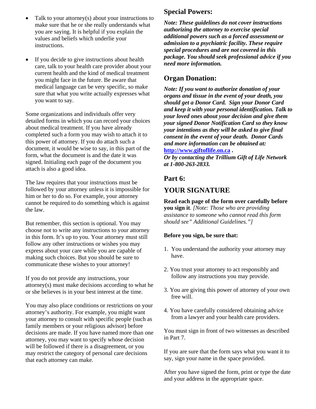- Talk to your attorney(s) about your instructions to make sure that he or she really understands what you are saying. It is helpful if you explain the values and beliefs which underlie your instructions.
- If you decide to give instructions about health care, talk to your health care provider about your current health and the kind of medical treatment you might face in the future. Be aware that medical language can be very specific, so make sure that what you write actually expresses what you want to say.

Some organizations and individuals offer very detailed forms in which you can record your choices about medical treatment. If you have already completed such a form you may wish to attach it to this power of attorney. If you do attach such a document, it would be wise to say, in this part of the form, what the document is and the date it was signed. Initialing each page of the document you attach is also a good idea.

The law requires that your instructions must be followed by your attorney unless it is impossible for him or her to do so. For example, your attorney cannot be required to do something which is against the law.

But remember, this section is optional. You may choose not to write any instructions to your attorney in this form. It's up to you. Your attorney must still follow any other instructions or wishes you may express about your care while you are capable of making such choices. But you should be sure to communicate these wishes to your attorney!

If you do not provide any instructions, your attorney(s) must make decisions according to what he or she believes is in your best interest at the time.

You may also place conditions or restrictions on your attorney's authority. For example, you might want your attorney to consult with specific people (such as family members or your religious advisor) before decisions are made. If you have named more than one attorney, you may want to specify whose decision will be followed if there is a disagreement, or you may restrict the category of personal care decisions that each attorney can make.

# **Special Powers:**

*Note: These guidelines do not cover instructions authorizing the attorney to exercise special additional powers such as a forced assessment or admission to a psychiatric facility. These require special procedures and are not covered in this package. You should seek professional advice if you need more information.* 

# **Organ Donation:**

*Note: If you want to authorize donation of your organs and tissue in the event of your death, you should get a Donor Card. Sign your Donor Card and keep it with your personal identification. Talk to your loved ones about your decision and give them your signed Donor Notification Card so they know your intentions as they will be asked to give final consent in the event of your death. Donor Cards and more information can be obtained at:*  **http://www.giftoflife.on.ca .** 

*Or by contacting the Trillium Gift of Life Network at 1-800-263-2833.* 

# **Part 6:**

# **YOUR SIGNATURE**

**Read each page of the form over carefully before you sign it**. *[Note: Those who are providing assistance to someone who cannot read this form should see" Additional Guidelines."]* 

### **Before you sign, be sure that:**

- 1. You understand the authority your attorney may have.
- 2. You trust your attorney to act responsibly and follow any instructions you may provide.
- 3. You are giving this power of attorney of your own free will.
- 4. You have carefully considered obtaining advice from a lawyer and your health care providers.

You must sign in front of two witnesses as described in Part 7.

If you are sure that the form says what you want it to say, sign your name in the space provided.

After you have signed the form, print or type the date and your address in the appropriate space.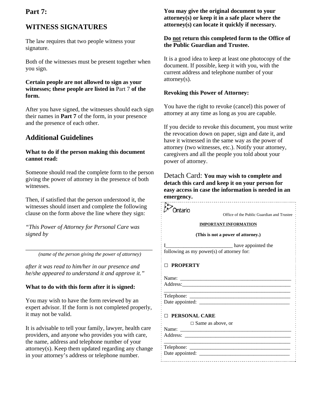### **Part 7:**

# **WITNESS SIGNATURES**

The law requires that two people witness your signature.

Both of the witnesses must be present together when you sign.

### **Certain people are not allowed to sign as your witnesses; these people are listed in** Part 7 **of the form.**

After you have signed, the witnesses should each sign their names in **Part 7** of the form, in your presence and the presence of each other.

# **Additional Guidelines**

### **What to do if the person making this document cannot read:**

Someone should read the complete form to the person giving the power of attorney in the presence of both witnesses.

Then, if satisfied that the person understood it, the witnesses should insert and complete the following clause on the form above the line where they sign:

*"This Power of Attorney for Personal Care was signed by* 

*\_\_\_\_\_\_\_\_\_\_\_\_\_\_\_\_\_\_\_\_\_\_\_\_\_\_\_\_\_\_\_\_\_\_\_\_\_\_\_\_\_ (name of the person giving the power of attorney)* 

*after it was read to him/her in our presence and he/she appeared to understand it and approve it."* 

### **What to do with this form after it is signed:**

You may wish to have the form reviewed by an expert advisor. If the form is not completed properly, it may not be valid.

It is advisable to tell your family, lawyer, health care providers, and anyone who provides you with care, the name, address and telephone number of your attorney(s). Keep them updated regarding any change in your attorney's address or telephone number.

### **You may give the original document to your attorney(s) or keep it in a safe place where the attorney(s) can locate it quickly if necessary.**

### **Do not return this completed form to the Office of the Public Guardian and Trustee.**

It is a good idea to keep at least one photocopy of the document. If possible, keep it with you, with the current address and telephone number of your attorney(s).

### **Revoking this Power of Attorney:**

You have the right to revoke (cancel) this power of attorney at any time as long as you are capable.

If you decide to revoke this document, you must write the revocation down on paper, sign and date it, and have it witnessed in the same way as the power of attorney (two witnesses, etc.). Notify your attorney, caregivers and all the people you told about your power of attorney.

### Detach Card: **You may wish to complete and detach this card and keep it on your person for easy access in case the information is needed in an emergency.**

| )ntario<br>Office of the Public Guardian and Trustee                                                                           |  |  |
|--------------------------------------------------------------------------------------------------------------------------------|--|--|
|                                                                                                                                |  |  |
| <b>IMPORTANT INFORMATION</b>                                                                                                   |  |  |
| (This is not a power of attorney.)                                                                                             |  |  |
| have appointed the                                                                                                             |  |  |
| following as my power(s) of attorney for:                                                                                      |  |  |
|                                                                                                                                |  |  |
| <b>PROPERTY</b>                                                                                                                |  |  |
|                                                                                                                                |  |  |
| Name:<br><u> 2000 - Jan James James James James James James James James James James James James James James James James Ja</u> |  |  |
| Address: 2008 and 2008 and 2008 and 2008 and 2008 and 2008 and 2008 and 2008 and 2008 and 2008 and 2008 and 20                 |  |  |
|                                                                                                                                |  |  |
|                                                                                                                                |  |  |
|                                                                                                                                |  |  |
| <b>PERSONAL CARE</b>                                                                                                           |  |  |
| $\Box$ Same as above, or                                                                                                       |  |  |
|                                                                                                                                |  |  |
|                                                                                                                                |  |  |
|                                                                                                                                |  |  |
|                                                                                                                                |  |  |
|                                                                                                                                |  |  |
|                                                                                                                                |  |  |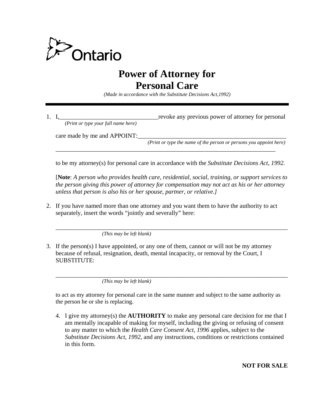

# **Power of Attorney for Personal Care**

*(Made in accordance with the Substitute Decisions Act,1992)* 

 *(Print or type your full name here)*  1. I, the contract of the contract of the contract of attorney for personal provide any previous power of attorney for personal

\_\_\_\_\_\_\_\_\_\_\_\_\_\_\_\_\_\_\_\_\_\_\_\_\_\_\_\_\_\_\_\_\_\_\_\_\_\_\_\_\_\_\_\_\_\_\_\_\_\_\_\_\_\_\_\_\_\_\_\_\_\_\_\_\_\_\_\_\_\_\_

care made by me and APPOINT:

 *(Print or type the name of the person or persons you appoint here)* 

to be my attorney(s) for personal care in accordance with the *Substitute Decisions Act, 1992.* 

[**Note**: *A person who provides health care, residential, social, training, or support services to the person giving this power of attorney for compensation may not act as his or her attorney unless that person is also his or her spouse, partner, or relative.]* 

\_\_\_\_\_\_\_\_\_\_\_\_\_\_\_\_\_\_\_\_\_\_\_\_\_\_\_\_\_\_\_\_\_\_\_\_\_\_\_\_\_\_\_\_\_\_\_\_\_\_\_\_\_\_\_\_\_\_\_\_\_\_\_\_\_\_\_\_\_\_\_\_\_\_\_

2. If you have named more than one attorney and you want them to have the authority to act separately, insert the words "jointly and severally" here:

*(This may be left blank)* 

3. If the person(s) I have appointed, or any one of them, cannot or will not be my attorney because of refusal, resignation, death, mental incapacity, or removal by the Court, I SUBSTITUTE:

*(This may be left blank)* 

to act as my attorney for personal care in the same manner and subject to the same authority as the person he or she is replacing.

\_\_\_\_\_\_\_\_\_\_\_\_\_\_\_\_\_\_\_\_\_\_\_\_\_\_\_\_\_\_\_\_\_\_\_\_\_\_\_\_\_\_\_\_\_\_\_\_\_\_\_\_\_\_\_\_\_\_\_\_\_\_\_\_\_\_\_\_\_\_\_\_\_\_\_

4. I give my attorney(s) the **AUTHORITY** to make any personal care decision for me that I am mentally incapable of making for myself, including the giving or refusing of consent to any matter to which the *Health Care Consent Act, 1996* applies, subject to the *Substitute Decisions Act, 1992*, and any instructions, conditions or restrictions contained in this form.